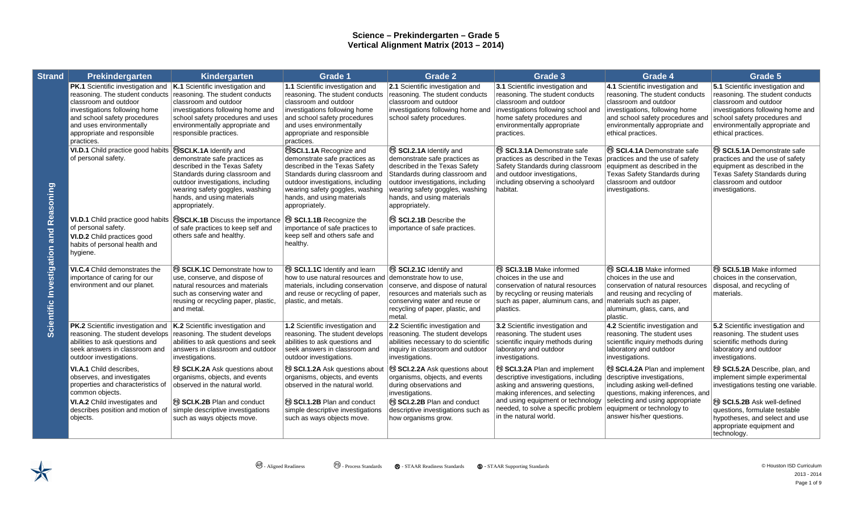| <b>Strand</b>                                 | Prekindergarten                                                                                                                                                                                                                                                                   | Kindergarten                                                                                                                                                                                                                                             | <b>Grade 1</b>                                                                                                                                                                                                                                             | <b>Grade 2</b>                                                                                                                                                                                                                                    | Grade 3                                                                                                                                                                                                                                                       | Grade 4                                                                                                                                                                                                                        | Grade 5                                                                                                                                                                                                                    |
|-----------------------------------------------|-----------------------------------------------------------------------------------------------------------------------------------------------------------------------------------------------------------------------------------------------------------------------------------|----------------------------------------------------------------------------------------------------------------------------------------------------------------------------------------------------------------------------------------------------------|------------------------------------------------------------------------------------------------------------------------------------------------------------------------------------------------------------------------------------------------------------|---------------------------------------------------------------------------------------------------------------------------------------------------------------------------------------------------------------------------------------------------|---------------------------------------------------------------------------------------------------------------------------------------------------------------------------------------------------------------------------------------------------------------|--------------------------------------------------------------------------------------------------------------------------------------------------------------------------------------------------------------------------------|----------------------------------------------------------------------------------------------------------------------------------------------------------------------------------------------------------------------------|
| <b>Scientific Investigation and Reasoning</b> | <b>PK.1</b> Scientific investigation and $K.1$ Scientific investigation and<br>reasoning. The student conducts<br>classroom and outdoor<br>investigations following home<br>and school safety procedures<br>and uses environmentally<br>appropriate and responsible<br>practices. | reasoning. The student conducts<br>classroom and outdoor<br>investigations following home and<br>school safety procedures and uses<br>environmentally appropriate and<br>responsible practices.                                                          | 1.1 Scientific investigation and<br>reasoning. The student conducts<br>classroom and outdoor<br>investigations following home<br>and school safety procedures<br>and uses environmentally<br>appropriate and responsible<br>practices.                     | 2.1 Scientific investigation and<br>reasoning. The student conducts<br>classroom and outdoor<br>investigations following home and<br>school safety procedures.                                                                                    | 3.1 Scientific investigation and<br>reasoning. The student conducts<br>classroom and outdoor<br>investigations following school and<br>home safety procedures and<br>environmentally appropriate<br>practices.                                                | 4.1 Scientific investigation and<br>reasoning. The student conducts<br>classroom and outdoor<br>investigations, following home<br>and school safety procedures and<br>environmentally appropriate and<br>ethical practices.    | 5.1 Scientific investigation and<br>reasoning. The student conducts<br>classroom and outdoor<br>investigations following home and<br>school safety procedures and<br>environmentally appropriate and<br>ethical practices. |
|                                               | VI.D.1 Child practice good habits<br>of personal safety.                                                                                                                                                                                                                          | <b>SCI.K.1A Identify and</b><br>demonstrate safe practices as<br>described in the Texas Safety<br>Standards during classroom and<br>outdoor investigations, including<br>wearing safety goggles, washing<br>hands, and using materials<br>appropriately. | <b>SSCI.1.1A Recognize and</b><br>demonstrate safe practices as<br>described in the Texas Safety<br>Standards during classroom and<br>outdoor investigations, including<br>wearing safety goggles, washing<br>hands, and using materials<br>appropriately. | SCI.2.1A Identify and<br>demonstrate safe practices as<br>described in the Texas Safety<br>Standards during classroom and<br>outdoor investigations, including<br>wearing safety goggles, washing<br>hands, and using materials<br>appropriately. | <sup>®</sup> SCI.3.1A Demonstrate safe<br>practices as described in the Texas<br>Safety Standards during classroom<br>and outdoor investigations,<br>including observing a schoolyard<br>habitat.                                                             | SCI.4.1A Demonstrate safe<br>practices and the use of safety<br>equipment as described in the<br>Texas Safety Standards during<br>classroom and outdoor<br>investigations.                                                     | SCI.5.1A Demonstrate safe<br>practices and the use of safety<br>equipment as described in the<br>Texas Safety Standards during<br>classroom and outdoor<br>investigations.                                                 |
|                                               | <b>VI.D.1</b> Child practice good habits<br>of personal safety.<br>VI.D.2 Child practices good<br>habits of personal health and<br>hygiene.                                                                                                                                       | <b>SCI.K.1B</b> Discuss the importance<br>of safe practices to keep self and<br>others safe and healthy.                                                                                                                                                 | <sup>®</sup> SCI.1.1B Recognize the<br>importance of safe practices to<br>keep self and others safe and<br>healthy.                                                                                                                                        | <sup>®</sup> SCI.2.1B Describe the<br>importance of safe practices.                                                                                                                                                                               |                                                                                                                                                                                                                                                               |                                                                                                                                                                                                                                |                                                                                                                                                                                                                            |
|                                               | <b>VI.C.4</b> Child demonstrates the<br>importance of caring for our<br>environment and our planet.                                                                                                                                                                               | SCI.K.1C Demonstrate how to<br>use, conserve, and dispose of<br>natural resources and materials<br>such as conserving water and<br>reusing or recycling paper, plastic,<br>and metal.                                                                    | SCI.1.1C Identify and learn<br>how to use natural resources and<br>materials, including conservation<br>and reuse or recycling of paper,<br>plastic, and metals.                                                                                           | SCI.2.1C Identify and<br>demonstrate how to use.<br>conserve, and dispose of natural<br>resources and materials such as<br>conserving water and reuse or<br>recycling of paper, plastic, and<br>metal.                                            | <sup>®</sup> SCI.3.1B Make informed<br>choices in the use and<br>conservation of natural resources<br>by recycling or reusing materials<br>such as paper, aluminum cans, and<br>plastics.                                                                     | SCI.4.1B Make informed<br>choices in the use and<br>conservation of natural resources<br>and reusing and recycling of<br>materials such as paper,<br>aluminum, glass, cans, and<br>plastic.                                    | <sup>®</sup> SCI.5.1B Make informed<br>choices in the conservation,<br>disposal, and recycling of<br>materials.                                                                                                            |
|                                               | PK.2 Scientific investigation and<br>reasoning. The student develops reasoning. The student develops<br>abilities to ask questions and<br>seek answers in classroom and<br>outdoor investigations.                                                                                | K.2 Scientific investigation and<br>abilities to ask questions and seek<br>answers in classroom and outdoor<br>investigations.                                                                                                                           | 1.2 Scientific investigation and<br>reasoning. The student develops<br>abilities to ask questions and<br>seek answers in classroom and<br>outdoor investigations.                                                                                          | 2.2 Scientific investigation and<br>reasoning. The student develops<br>abilities necessary to do scientific<br>inquiry in classroom and outdoor<br>investigations.                                                                                | 3.2 Scientific investigation and<br>reasoning. The student uses<br>scientific inquiry methods during<br>laboratory and outdoor<br>investigations.                                                                                                             | 4.2 Scientific investigation and<br>reasoning. The student uses<br>scientific inquiry methods during<br>laboratory and outdoor<br>investigations.                                                                              | 5.2 Scientific investigation and<br>reasoning. The student uses<br>scientific methods during<br>laboratory and outdoor<br>investigations.                                                                                  |
|                                               | <b>VI.A.1</b> Child describes.<br>observes, and investigates<br>properties and characteristics of<br>common objects.<br><b>VI.A.2</b> Child investigates and<br>describes position and motion of<br>objects.                                                                      | <sup>®</sup> SCI.K.2A Ask questions about<br>organisms, objects, and events<br>observed in the natural world.<br><sup>(3</sup> SCI.K.2B Plan and conduct<br>simple descriptive investigations<br>such as ways objects move.                              | <sup>®</sup> SCI.1.2A Ask questions about<br>organisms, objects, and events<br>observed in the natural world.<br><sup>(9</sup> SCI.1.2B Plan and conduct<br>simple descriptive investigations<br>such as ways objects move.                                | <sup>®</sup> SCI.2.2A Ask questions about<br>organisms, objects, and events<br>during observations and<br>investigations.<br><sup>(9</sup> SCI.2.2B Plan and conduct<br>descriptive investigations such as<br>how organisms grow.                 | <sup>®</sup> SCI.3.2A Plan and implement<br>descriptive investigations, including<br>asking and answering questions,<br>making inferences, and selecting<br>and using equipment or technology<br>needed, to solve a specific problem<br>in the natural world. | SCI.4.2A Plan and implement<br>descriptive investigations,<br>including asking well-defined<br>questions, making inferences, and<br>selecting and using appropriate<br>equipment or technology to<br>answer his/her questions. | SCI.5.2A Describe, plan, and<br>implement simple experimental<br>investigations testing one variable.<br>SCI.5.2B Ask well-defined<br>questions, formulate testable<br>hypotheses, and select and use                      |
|                                               |                                                                                                                                                                                                                                                                                   |                                                                                                                                                                                                                                                          |                                                                                                                                                                                                                                                            |                                                                                                                                                                                                                                                   |                                                                                                                                                                                                                                                               |                                                                                                                                                                                                                                | appropriate equipment and<br>technology.                                                                                                                                                                                   |

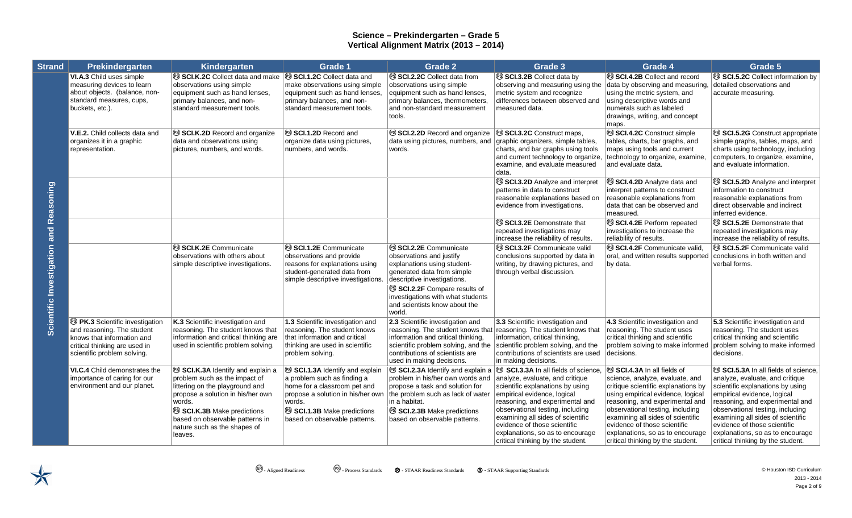| <b>Strand</b>                          | Prekindergarten                                                                                                                                                                          | Kindergarten                                                                                                                                                                                                                                                               | <b>Grade 1</b>                                                                                                                                                                                                                      | <b>Grade 2</b>                                                                                                                                                                                                                                                                          | <b>Grade 3</b>                                                                                                                                                                                                                                                                                                                                                | Grade 4                                                                                                                                                                                                                                                                                                                                                       | Grade 5                                                                                                                                                                                                                                                                                                                                                       |
|----------------------------------------|------------------------------------------------------------------------------------------------------------------------------------------------------------------------------------------|----------------------------------------------------------------------------------------------------------------------------------------------------------------------------------------------------------------------------------------------------------------------------|-------------------------------------------------------------------------------------------------------------------------------------------------------------------------------------------------------------------------------------|-----------------------------------------------------------------------------------------------------------------------------------------------------------------------------------------------------------------------------------------------------------------------------------------|---------------------------------------------------------------------------------------------------------------------------------------------------------------------------------------------------------------------------------------------------------------------------------------------------------------------------------------------------------------|---------------------------------------------------------------------------------------------------------------------------------------------------------------------------------------------------------------------------------------------------------------------------------------------------------------------------------------------------------------|---------------------------------------------------------------------------------------------------------------------------------------------------------------------------------------------------------------------------------------------------------------------------------------------------------------------------------------------------------------|
|                                        | VI.A.3 Child uses simple<br>measuring devices to learn<br>about objects. (balance, non-<br>standard measures, cups,<br>buckets, etc.).                                                   | <sup>®</sup> SCI.K.2C Collect data and make<br>observations using simple<br>equipment such as hand lenses,<br>primary balances, and non-<br>standard measurement tools.                                                                                                    | <sup>®</sup> SCI.1.2C Collect data and<br>make observations using simple<br>equipment such as hand lenses,<br>primary balances, and non-<br>standard measurement tools.                                                             | <sup>®</sup> SCI.2.2C Collect data from<br>observations using simple<br>equipment such as hand lenses,<br>primary balances, thermometers,<br>and non-standard measurement<br>tools.                                                                                                     | SCI.3.2B Collect data by<br>observing and measuring using the<br>metric system and recognize<br>differences between observed and<br>measured data.                                                                                                                                                                                                            | SCI.4.2B Collect and record<br>data by observing and measuring.<br>using the metric system, and<br>using descriptive words and<br>numerals such as labeled<br>drawings, writing, and concept<br>maps.                                                                                                                                                         | <sup>®</sup> SCI.5.2C Collect information by<br>detailed observations and<br>accurate measuring.                                                                                                                                                                                                                                                              |
|                                        | V.E.2. Child collects data and<br>organizes it in a graphic<br>representation.                                                                                                           | SCI.K.2D Record and organize<br>data and observations using<br>pictures, numbers, and words.                                                                                                                                                                               | SCI.1.2D Record and<br>organize data using pictures,<br>numbers, and words.                                                                                                                                                         | SCI.2.2D Record and organize<br>data using pictures, numbers, and<br>words.                                                                                                                                                                                                             | SCI.3.2C Construct maps,<br>graphic organizers, simple tables,<br>charts, and bar graphs using tools<br>and current technology to organize,<br>examine, and evaluate measured<br>data.                                                                                                                                                                        | SCI.4.2C Construct simple<br>tables, charts, bar graphs, and<br>maps using tools and current<br>technology to organize, examine,<br>and evaluate data.                                                                                                                                                                                                        | SCI.5.2G Construct appropriate<br>simple graphs, tables, maps, and<br>charts using technology, including<br>computers, to organize, examine,<br>and evaluate information.                                                                                                                                                                                     |
|                                        |                                                                                                                                                                                          |                                                                                                                                                                                                                                                                            |                                                                                                                                                                                                                                     |                                                                                                                                                                                                                                                                                         | <sup>®</sup> SCI.3.2D Analyze and interpret<br>patterns in data to construct<br>reasonable explanations based on<br>evidence from investigations.                                                                                                                                                                                                             | SCI.4.2D Analyze data and<br>interpret patterns to construct<br>reasonable explanations from<br>data that can be observed and<br>measured.                                                                                                                                                                                                                    | SCI.5.2D Analyze and interpret<br>information to construct<br>reasonable explanations from<br>direct observable and indirect<br>inferred evidence.                                                                                                                                                                                                            |
|                                        |                                                                                                                                                                                          |                                                                                                                                                                                                                                                                            |                                                                                                                                                                                                                                     |                                                                                                                                                                                                                                                                                         | <sup>®</sup> SCI.3.2E Demonstrate that<br>repeated investigations may<br>increase the reliability of results.                                                                                                                                                                                                                                                 | SCI.4.2E Perform repeated<br>investigations to increase the<br>reliability of results.                                                                                                                                                                                                                                                                        | SCI.5.2E Demonstrate that<br>repeated investigations may<br>increase the reliability of results.                                                                                                                                                                                                                                                              |
| Scientific Investigation and Reasoning |                                                                                                                                                                                          | <sup>®</sup> SCI.K.2E Communicate<br>observations with others about<br>simple descriptive investigations.                                                                                                                                                                  | <sup>®</sup> SCI.1.2E Communicate<br>observations and provide<br>reasons for explanations using<br>student-generated data from<br>simple descriptive investigations.                                                                | <sup>®</sup> SCI.2.2E Communicate<br>observations and justify<br>explanations using student-<br>generated data from simple<br>descriptive investigations.<br><sup>(9)</sup> SCI.2.2F Compare results of<br>investigations with what students<br>and scientists know about the<br>world. | <sup>®</sup> SCI.3.2F Communicate valid<br>conclusions supported by data in<br>writing, by drawing pictures, and<br>through verbal discussion.                                                                                                                                                                                                                | SCI.4.2F Communicate valid,<br>oral, and written results supported<br>by data.                                                                                                                                                                                                                                                                                | SCI.5.2F Communicate valid<br>conclusions in both written and<br>verbal forms.                                                                                                                                                                                                                                                                                |
|                                        | <b><sup><sup>3</sup></sup></b> PK.3 Scientific investigation<br>and reasoning. The student<br>knows that information and<br>critical thinking are used in<br>scientific problem solving. | K.3 Scientific investigation and<br>reasoning. The student knows that<br>information and critical thinking are<br>used in scientific problem solving.                                                                                                                      | 1.3 Scientific investigation and<br>reasoning. The student knows<br>that information and critical<br>thinking are used in scientific<br>problem solving.                                                                            | 2.3 Scientific investigation and<br>information and critical thinking,<br>scientific problem solving, and the<br>contributions of scientists are<br>used in making decisions.                                                                                                           | 3.3 Scientific investigation and<br>reasoning. The student knows that reasoning. The student knows that<br>information, critical thinking,<br>scientific problem solving, and the<br>contributions of scientists are used<br>in making decisions.                                                                                                             | 4.3 Scientific investigation and<br>reasoning. The student uses<br>critical thinking and scientific<br>problem solving to make informed<br>decisions.                                                                                                                                                                                                         | 5.3 Scientific investigation and<br>reasoning. The student uses<br>critical thinking and scientific<br>problem solving to make informed<br>decisions.                                                                                                                                                                                                         |
|                                        | VI.C.4 Child demonstrates the<br>importance of caring for our<br>environment and our planet.                                                                                             | SCI.K.3A Identify and explain a<br>problem such as the impact of<br>littering on the playground and<br>propose a solution in his/her own<br>words.<br><sup>®</sup> SCI.K.3B Make predictions<br>based on observable patterns in<br>nature such as the shapes of<br>leaves. | <sup>®</sup> SCI.1.3A Identify and explain<br>a problem such as finding a<br>home for a classroom pet and<br>propose a solution in his/her own<br>words.<br><sup>®</sup> SCI.1.3B Make predictions<br>based on observable patterns. | SCI.2.3A Identify and explain a<br>problem in his/her own words and<br>propose a task and solution for<br>the problem such as lack of water<br>in a habitat.<br>SCI.2.3B Make predictions<br>based on observable patterns.                                                              | SCI.3.3A In all fields of science,<br>analyze, evaluate, and critique<br>scientific explanations by using<br>empirical evidence, logical<br>reasoning, and experimental and<br>observational testing, including<br>examining all sides of scientific<br>evidence of those scientific<br>explanations, so as to encourage<br>critical thinking by the student. | SCI.4.3A In all fields of<br>science, analyze, evaluate, and<br>critique scientific explanations by<br>using empirical evidence, logical<br>reasoning, and experimental and<br>observational testing, including<br>examining all sides of scientific<br>evidence of those scientific<br>explanations, so as to encourage<br>critical thinking by the student. | SCI.5.3A In all fields of science,<br>analyze, evaluate, and critique<br>scientific explanations by using<br>empirical evidence, logical<br>reasoning, and experimental and<br>observational testing, including<br>examining all sides of scientific<br>evidence of those scientific<br>explanations, so as to encourage<br>critical thinking by the student. |

 $\bigstar$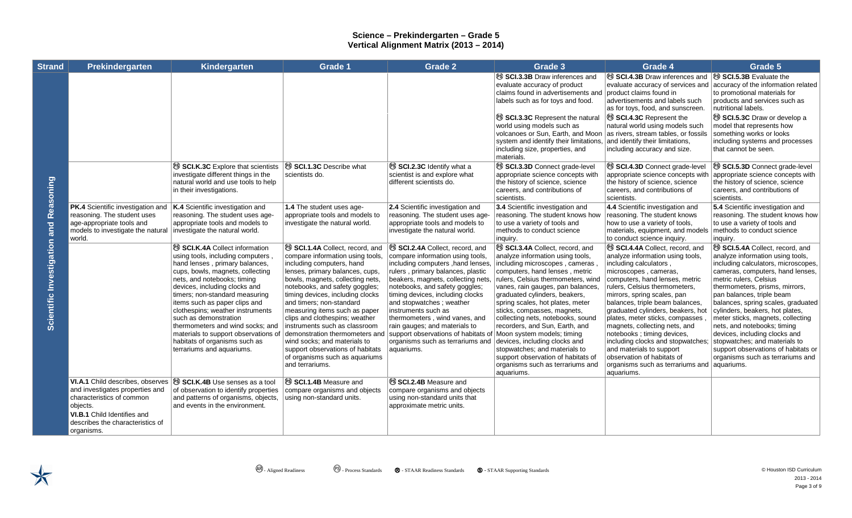| <b>Strand</b>                             | Prekindergarten                                                                                                                                                                               | Kindergarten                                                                                                                                                                                                                                                                                                                                                                                                                                                                                   | <b>Grade 1</b>                                                                                                                                                                                                                                                                                                                                                                                                                                                                                                                         | <b>Grade 2</b>                                                                                                                                                                                                                                                                                                                                                                                                                                                         | Grade 3                                                                                                                                                                                                                                                                                                                                                                                                                                                                                                                                                                             | Grade 4                                                                                                                                                                                                                                                                                                                                                                                                                                                                                                                                            | Grade 5                                                                                                                                                                                                                                                                                                                                                                                                                                                                                                                                       |
|-------------------------------------------|-----------------------------------------------------------------------------------------------------------------------------------------------------------------------------------------------|------------------------------------------------------------------------------------------------------------------------------------------------------------------------------------------------------------------------------------------------------------------------------------------------------------------------------------------------------------------------------------------------------------------------------------------------------------------------------------------------|----------------------------------------------------------------------------------------------------------------------------------------------------------------------------------------------------------------------------------------------------------------------------------------------------------------------------------------------------------------------------------------------------------------------------------------------------------------------------------------------------------------------------------------|------------------------------------------------------------------------------------------------------------------------------------------------------------------------------------------------------------------------------------------------------------------------------------------------------------------------------------------------------------------------------------------------------------------------------------------------------------------------|-------------------------------------------------------------------------------------------------------------------------------------------------------------------------------------------------------------------------------------------------------------------------------------------------------------------------------------------------------------------------------------------------------------------------------------------------------------------------------------------------------------------------------------------------------------------------------------|----------------------------------------------------------------------------------------------------------------------------------------------------------------------------------------------------------------------------------------------------------------------------------------------------------------------------------------------------------------------------------------------------------------------------------------------------------------------------------------------------------------------------------------------------|-----------------------------------------------------------------------------------------------------------------------------------------------------------------------------------------------------------------------------------------------------------------------------------------------------------------------------------------------------------------------------------------------------------------------------------------------------------------------------------------------------------------------------------------------|
| Reasoning<br>Scientific Investigation and |                                                                                                                                                                                               |                                                                                                                                                                                                                                                                                                                                                                                                                                                                                                |                                                                                                                                                                                                                                                                                                                                                                                                                                                                                                                                        |                                                                                                                                                                                                                                                                                                                                                                                                                                                                        | SCI.3.3B Draw inferences and<br>evaluate accuracy of product<br>claims found in advertisements and<br>labels such as for toys and food.                                                                                                                                                                                                                                                                                                                                                                                                                                             | <sup>®</sup> SCI.4.3B Draw inferences and<br>evaluate accuracy of services and<br>product claims found in<br>advertisements and labels such<br>as for toys, food, and sunscreen.                                                                                                                                                                                                                                                                                                                                                                   | SCI.5.3B Evaluate the<br>accuracy of the information related<br>to promotional materials for<br>products and services such as<br>nutritional labels.                                                                                                                                                                                                                                                                                                                                                                                          |
|                                           |                                                                                                                                                                                               |                                                                                                                                                                                                                                                                                                                                                                                                                                                                                                |                                                                                                                                                                                                                                                                                                                                                                                                                                                                                                                                        |                                                                                                                                                                                                                                                                                                                                                                                                                                                                        | SCI.3.3C Represent the natura<br>world using models such as<br>volcanoes or Sun, Earth, and Moon as rivers, stream tables, or fossils<br>system and identify their limitations,<br>including size, properties, and<br>materials.                                                                                                                                                                                                                                                                                                                                                    | <sup>®</sup> SCI.4.3C Represent the<br>natural world using models such<br>and identify their limitations,<br>including accuracy and size.                                                                                                                                                                                                                                                                                                                                                                                                          | SCI.5.3C Draw or develop a<br>model that represents how<br>something works or looks<br>including systems and processes<br>that cannot be seen.                                                                                                                                                                                                                                                                                                                                                                                                |
|                                           |                                                                                                                                                                                               | SCI.K.3C Explore that scientists<br>investigate different things in the<br>natural world and use tools to help<br>in their investigations.                                                                                                                                                                                                                                                                                                                                                     | SCI.1.3C Describe what<br>scientists do.                                                                                                                                                                                                                                                                                                                                                                                                                                                                                               | SCI.2.3C Identify what a<br>scientist is and explore what<br>different scientists do.                                                                                                                                                                                                                                                                                                                                                                                  | SCI.3.3D Connect grade-level<br>appropriate science concepts with<br>the history of science, science<br>careers, and contributions of<br>scientists.                                                                                                                                                                                                                                                                                                                                                                                                                                | SCI.4.3D Connect grade-level<br>appropriate science concepts with<br>the history of science, science<br>careers, and contributions of<br>scientists.                                                                                                                                                                                                                                                                                                                                                                                               | SCI.5.3D Connect grade-level<br>appropriate science concepts with<br>the history of science, science<br>careers, and contributions of<br>scientists.                                                                                                                                                                                                                                                                                                                                                                                          |
|                                           | <b>PK.4</b> Scientific investigation and<br>reasoning. The student uses<br>age-appropriate tools and<br>models to investigate the natural<br>world.                                           | K.4 Scientific investigation and<br>reasoning. The student uses age-<br>appropriate tools and models to<br>investigate the natural world.                                                                                                                                                                                                                                                                                                                                                      | 1.4 The student uses age-<br>appropriate tools and models to<br>investigate the natural world.                                                                                                                                                                                                                                                                                                                                                                                                                                         | 2.4 Scientific investigation and<br>reasoning. The student uses age-<br>appropriate tools and models to<br>investigate the natural world.                                                                                                                                                                                                                                                                                                                              | 3.4 Scientific investigation and<br>reasoning. The student knows how<br>to use a variety of tools and<br>methods to conduct science<br>inquiry.                                                                                                                                                                                                                                                                                                                                                                                                                                     | 4.4 Scientific investigation and<br>reasoning. The student knows<br>how to use a variety of tools,<br>materials, equipment, and models<br>to conduct science inquiry.                                                                                                                                                                                                                                                                                                                                                                              | 5.4 Scientific investigation and<br>reasoning. The student knows how<br>to use a variety of tools and<br>methods to conduct science<br>inquiry.                                                                                                                                                                                                                                                                                                                                                                                               |
|                                           |                                                                                                                                                                                               | <sup>®</sup> SCI.K.4A Collect information<br>using tools, including computers,<br>hand lenses, primary balances,<br>cups, bowls, magnets, collecting<br>nets, and notebooks; timing<br>devices, including clocks and<br>timers; non-standard measuring<br>items such as paper clips and<br>clothespins; weather instruments<br>such as demonstration<br>thermometers and wind socks; and<br>materials to support observations of<br>habitats of organisms such as<br>terrariums and aquariums. | SCI.1.4A Collect, record, and<br>compare information using tools,<br>including computers, hand<br>lenses, primary balances, cups,<br>bowls, magnets, collecting nets,<br>notebooks, and safety goggles;<br>timing devices, including clocks<br>and timers: non-standard<br>measuring items such as paper<br>clips and clothespins; weather<br>instruments such as classroom<br>demonstration thermometers and<br>wind socks: and materials to<br>support observations of habitats<br>of organisms such as aquariums<br>and terrariums. | SCI.2.4A Collect, record, and<br>compare information using tools,<br>including computers , hand lenses.<br>rulers, primary balances, plastic<br>beakers, magnets, collecting nets,<br>notebooks, and safety goggles;<br>timing devices, including clocks<br>and stopwatches; weather<br>instruments such as<br>thermometers, wind vanes, and<br>rain gauges; and materials to<br>support observations of habitats of<br>organisms such as terrariums and<br>aquariums. | SCI.3.4A Collect, record, and<br>analyze information using tools,<br>including microscopes, cameras<br>computers, hand lenses, metric<br>rulers, Celsius thermometers, wind<br>vanes, rain gauges, pan balances,<br>graduated cylinders, beakers,<br>spring scales, hot plates, meter<br>sticks, compasses, magnets,<br>collecting nets, notebooks, sound<br>recorders, and Sun, Earth, and<br>Moon system models; timing<br>devices, including clocks and<br>stopwatches; and materials to<br>support observation of habitats of<br>organisms such as terrariums and<br>aquariums. | SCI.4.4A Collect, record, and<br>analyze information using tools,<br>including calculators,<br>microscopes, cameras,<br>computers, hand lenses, metric<br>rulers, Celsius thermometers,<br>mirrors, spring scales, pan<br>balances, triple beam balances,<br>graduated cylinders, beakers, hot<br>plates, meter sticks, compasses<br>magnets, collecting nets, and<br>notebooks ; timing devices,<br>including clocks and stopwatches;<br>and materials to support<br>observation of habitats of<br>organisms such as terrariums and<br>aquariums. | SCI.5.4A Collect, record, and<br>analyze information using tools,<br>including calculators, microscopes,<br>cameras, computers, hand lenses,<br>metric rulers, Celsius<br>thermometers, prisms, mirrors,<br>pan balances, triple beam<br>balances, spring scales, graduated<br>cylinders, beakers, hot plates,<br>meter sticks, magnets, collecting<br>nets, and notebooks; timing<br>devices, including clocks and<br>stopwatches; and materials to<br>support observations of habitats or<br>organisms such as terrariums and<br>aquariums. |
|                                           | VI.A.1 Child describes, observes<br>and investigates properties and<br>characteristics of common<br>objects.<br>VI.B.1 Child Identifies and<br>describes the characteristics of<br>organisms. | SCI.K.4B Use senses as a tool<br>of observation to identify properties<br>and patterns of organisms, objects,<br>and events in the environment.                                                                                                                                                                                                                                                                                                                                                | <sup>®</sup> SCI.1.4B Measure and<br>compare organisms and objects<br>using non-standard units.                                                                                                                                                                                                                                                                                                                                                                                                                                        | SCI.2.4B Measure and<br>compare organisms and objects<br>using non-standard units that<br>approximate metric units.                                                                                                                                                                                                                                                                                                                                                    |                                                                                                                                                                                                                                                                                                                                                                                                                                                                                                                                                                                     |                                                                                                                                                                                                                                                                                                                                                                                                                                                                                                                                                    |                                                                                                                                                                                                                                                                                                                                                                                                                                                                                                                                               |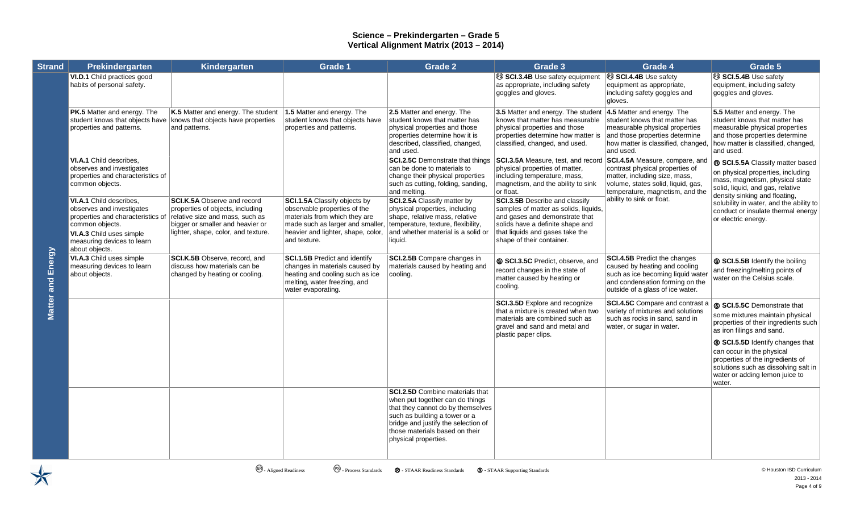| <b>Strand</b>     | Prekindergarten                                                                                                                                                                          | Kindergarten                                                                                                                                                                         | Grade 1                                                                                                                                                                                 | <b>Grade 2</b>                                                                                                                                                                                                                            | Grade 3                                                                                                                                                                                                              | Grade 4                                                                                                                                                                          | Grade 5                                                                                                                                                                               |
|-------------------|------------------------------------------------------------------------------------------------------------------------------------------------------------------------------------------|--------------------------------------------------------------------------------------------------------------------------------------------------------------------------------------|-----------------------------------------------------------------------------------------------------------------------------------------------------------------------------------------|-------------------------------------------------------------------------------------------------------------------------------------------------------------------------------------------------------------------------------------------|----------------------------------------------------------------------------------------------------------------------------------------------------------------------------------------------------------------------|----------------------------------------------------------------------------------------------------------------------------------------------------------------------------------|---------------------------------------------------------------------------------------------------------------------------------------------------------------------------------------|
|                   | VI.D.1 Child practices good<br>habits of personal safety.                                                                                                                                |                                                                                                                                                                                      |                                                                                                                                                                                         |                                                                                                                                                                                                                                           | SCI.3.4B Use safety equipment<br>as appropriate, including safety<br>goggles and gloves.                                                                                                                             | <sup>®</sup> SCI.4.4B Use safety<br>equipment as appropriate,<br>including safety goggles and<br>gloves.                                                                         | <sup>®</sup> SCI.5.4B Use safety<br>equipment, including safety<br>goggles and gloves.                                                                                                |
|                   | <b>PK.5</b> Matter and energy. The<br>student knows that objects have<br>properties and patterns.                                                                                        | K.5 Matter and energy. The student<br>knows that objects have properties<br>and patterns.                                                                                            | 1.5 Matter and energy. The<br>student knows that objects have<br>properties and patterns.                                                                                               | 2.5 Matter and energy. The<br>student knows that matter has<br>physical properties and those<br>properties determine how it is<br>described, classified, changed,<br>and used.                                                            | 3.5 Matter and energy. The student $\vert$ 4.5 Matter and energy. The<br>knows that matter has measurable<br>physical properties and those<br>properties determine how matter is<br>classified, changed, and used.   | student knows that matter has<br>measurable physical properties<br>and those properties determine<br>how matter is classified, changed,<br>and used.                             | 5.5 Matter and energy. The<br>student knows that matter has<br>measurable physical properties<br>and those properties determine<br>how matter is classified, changed,<br>and used.    |
|                   | VI.A.1 Child describes,<br>observes and investigates<br>properties and characteristics of<br>common objects.                                                                             |                                                                                                                                                                                      |                                                                                                                                                                                         | <b>SCI.2.5C</b> Demonstrate that things<br>can be done to materials to<br>change their physical properties<br>such as cutting, folding, sanding,<br>and melting.                                                                          | SCI.3.5A Measure, test, and record<br>physical properties of matter,<br>including temperature, mass,<br>magnetism, and the ability to sink<br>or float.                                                              | SCI.4.5A Measure, compare, and<br>contrast physical properties of<br>matter, including size, mass,<br>volume, states solid, liquid, gas,<br>temperature, magnetism, and the      | ® SCI.5.5A Classify matter based<br>on physical properties, including<br>mass, magnetism, physical state<br>solid, liquid, and gas, relative<br>density sinking and floating,         |
|                   | VI.A.1 Child describes,<br>observes and investigates<br>properties and characteristics of<br>common objects.<br>VI.A.3 Child uses simple<br>measuring devices to learn<br>about objects. | <b>SCI.K.5A Observe and record</b><br>properties of objects, including<br>relative size and mass, such as<br>bigger or smaller and heavier or<br>lighter, shape, color, and texture. | SCI.1.5A Classify objects by<br>observable properties of the<br>materials from which they are<br>made such as larger and smaller,<br>heavier and lighter, shape, color,<br>and texture. | SCI.2.5A Classify matter by<br>physical properties, including<br>shape, relative mass, relative<br>temperature, texture, flexibility,<br>and whether material is a solid or<br>liquid.                                                    | <b>SCI.3.5B</b> Describe and classify<br>samples of matter as solids, liquids,<br>and gases and demonstrate that<br>solids have a definite shape and<br>that liquids and gases take the<br>shape of their container. | ability to sink or float.                                                                                                                                                        | solubility in water, and the ability to<br>conduct or insulate thermal energy<br>or electric energy.                                                                                  |
| Matter and Energy | VI.A.3 Child uses simple<br>measuring devices to learn<br>about objects.                                                                                                                 | SCI.K.5B Observe, record, and<br>discuss how materials can be<br>changed by heating or cooling.                                                                                      | <b>SCI.1.5B Predict and identify</b><br>changes in materials caused by<br>heating and cooling such as ice<br>melting, water freezing, and<br>water evaporating.                         | SCI.2.5B Compare changes in<br>materials caused by heating and<br>cooling.                                                                                                                                                                | S SCI.3.5C Predict, observe, and<br>record changes in the state of<br>matter caused by heating or<br>cooling.                                                                                                        | <b>SCI.4.5B Predict the changes</b><br>caused by heating and cooling<br>such as ice becoming liquid water<br>and condensation forming on the<br>outside of a glass of ice water. | SCI.5.5B Identify the boiling<br>and freezing/melting points of<br>water on the Celsius scale.                                                                                        |
|                   |                                                                                                                                                                                          |                                                                                                                                                                                      |                                                                                                                                                                                         |                                                                                                                                                                                                                                           | <b>SCI.3.5D</b> Explore and recognize<br>that a mixture is created when two<br>materials are combined such as<br>gravel and sand and metal and<br>plastic paper clips.                                               | SCI.4.5C Compare and contrast a<br>variety of mixtures and solutions<br>such as rocks in sand, sand in<br>water, or sugar in water.                                              | SCI.5.5C Demonstrate that<br>some mixtures maintain physical<br>properties of their ingredients such<br>as iron filings and sand.                                                     |
|                   |                                                                                                                                                                                          |                                                                                                                                                                                      |                                                                                                                                                                                         |                                                                                                                                                                                                                                           |                                                                                                                                                                                                                      |                                                                                                                                                                                  | S SCI.5.5D Identify changes that<br>can occur in the physical<br>properties of the ingredients of<br>solutions such as dissolving salt in<br>water or adding lemon juice to<br>water. |
|                   |                                                                                                                                                                                          |                                                                                                                                                                                      |                                                                                                                                                                                         | SCI.2.5D Combine materials that<br>when put together can do things<br>that they cannot do by themselves<br>such as building a tower or a<br>bridge and justify the selection of<br>those materials based on their<br>physical properties. |                                                                                                                                                                                                                      |                                                                                                                                                                                  |                                                                                                                                                                                       |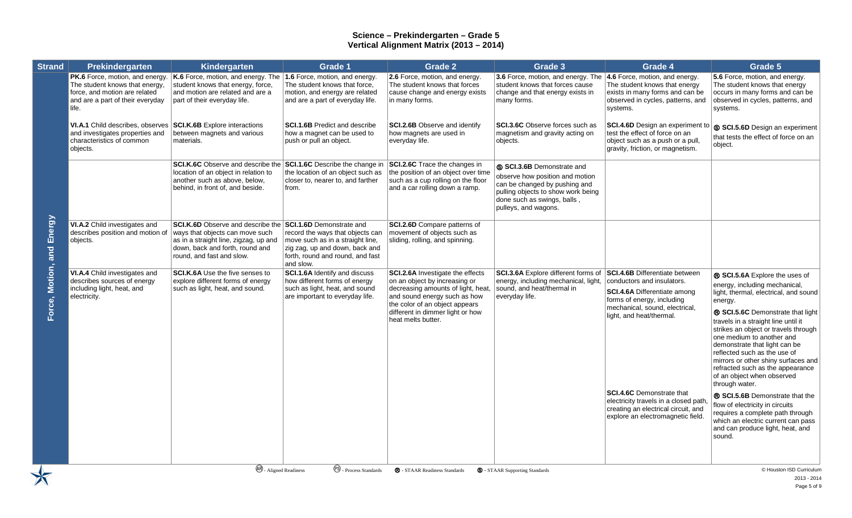| <b>Strand</b>                      | Prekindergarten                                                                                                                                 | Kindergarten                                                                                                                                                                                                         | Grade 1                                                                                                                                                 | Grade 2                                                                                                                                                                                                                                    | Grade 3                                                                                                                                                                                     | Grade 4                                                                                                                                                                                                | Grade 5                                                                                                                                                                                                                                                                                                                                                                                                                                                          |
|------------------------------------|-------------------------------------------------------------------------------------------------------------------------------------------------|----------------------------------------------------------------------------------------------------------------------------------------------------------------------------------------------------------------------|---------------------------------------------------------------------------------------------------------------------------------------------------------|--------------------------------------------------------------------------------------------------------------------------------------------------------------------------------------------------------------------------------------------|---------------------------------------------------------------------------------------------------------------------------------------------------------------------------------------------|--------------------------------------------------------------------------------------------------------------------------------------------------------------------------------------------------------|------------------------------------------------------------------------------------------------------------------------------------------------------------------------------------------------------------------------------------------------------------------------------------------------------------------------------------------------------------------------------------------------------------------------------------------------------------------|
|                                    | PK.6 Force, motion, and energy.<br>The student knows that energy,<br>force, and motion are related<br>and are a part of their everyday<br>life. | $K.6$ Force, motion, and energy. The 1.6 Force, motion, and energy.<br>student knows that energy, force,<br>and motion are related and are a<br>part of their everyday life.                                         | The student knows that force.<br>motion, and energy are related<br>and are a part of everyday life.                                                     | 2.6 Force, motion, and energy.<br>The student knows that forces<br>cause change and energy exists<br>in many forms.                                                                                                                        | 3.6 Force, motion, and energy. The 4.6 Force, motion, and energy.<br>student knows that forces cause<br>change and that energy exists in<br>many forms.                                     | The student knows that energy<br>exists in many forms and can be<br>observed in cycles, patterns, and<br>systems.                                                                                      | 5.6 Force, motion, and energy.<br>The student knows that energy<br>occurs in many forms and can be<br>observed in cycles, patterns, and<br>systems.                                                                                                                                                                                                                                                                                                              |
| Energy<br>and<br>Motion,<br>Force, | VI.A.1 Child describes, observes<br>and investigates properties and<br>characteristics of common<br>objects.                                    | <b>SCI.K.6B</b> Explore interactions<br>between magnets and various<br>materials.                                                                                                                                    | <b>SCI.1.6B</b> Predict and describe<br>how a magnet can be used to<br>push or pull an object.                                                          | <b>SCI.2.6B</b> Observe and identify<br>how magnets are used in<br>everyday life.                                                                                                                                                          | <b>SCI.3.6C</b> Observe forces such as<br>magnetism and gravity acting on<br>objects.                                                                                                       | <b>SCI.4.6D</b> Design an experiment to<br>test the effect of force on an<br>object such as a push or a pull.<br>gravity, friction, or magnetism.                                                      | S SCI.5.6D Design an experiment<br>that tests the effect of force on an<br>object.                                                                                                                                                                                                                                                                                                                                                                               |
|                                    |                                                                                                                                                 | <b>SCI.K.6C</b> Observe and describe the <b>SCI.1.6C</b> Describe the change in<br>location of an object in relation to<br>another such as above, below,<br>behind, in front of, and beside.                         | the location of an object such as<br>closer to, nearer to, and farther<br>from.                                                                         | SCI.2.6C Trace the changes in<br>the position of an object over time<br>such as a cup rolling on the floor<br>and a car rolling down a ramp.                                                                                               | S SCI.3.6B Demonstrate and<br>observe how position and motion<br>can be changed by pushing and<br>pulling objects to show work being<br>done such as swings, balls,<br>pulleys, and wagons. |                                                                                                                                                                                                        |                                                                                                                                                                                                                                                                                                                                                                                                                                                                  |
|                                    | VI.A.2 Child investigates and<br>describes position and motion of<br>objects.                                                                   | <b>SCI.K.6D</b> Observe and describe the <b>SCI.1.6D</b> Demonstrate and<br>ways that objects can move such<br>as in a straight line, zigzag, up and<br>down, back and forth, round and<br>round, and fast and slow. | record the ways that objects can<br>move such as in a straight line,<br>zig zag, up and down, back and<br>forth, round and round, and fast<br>and slow. | <b>SCI.2.6D</b> Compare patterns of<br>movement of objects such as<br>sliding, rolling, and spinning.                                                                                                                                      |                                                                                                                                                                                             |                                                                                                                                                                                                        |                                                                                                                                                                                                                                                                                                                                                                                                                                                                  |
|                                    | VI.A.4 Child investigates and<br>describes sources of energy<br>including light, heat, and<br>electricity.                                      | <b>SCI.K.6A</b> Use the five senses to<br>explore different forms of energy<br>such as light, heat, and sound.                                                                                                       | SCI.1.6A Identify and discuss<br>how different forms of energy<br>such as light, heat, and sound<br>are important to everyday life.                     | <b>SCI.2.6A</b> Investigate the effects<br>on an object by increasing or<br>decreasing amounts of light, heat,<br>and sound energy such as how<br>the color of an object appears<br>different in dimmer light or how<br>heat melts butter. | <b>SCI.3.6A</b> Explore different forms of<br>energy, including mechanical, light,<br>sound, and heat/thermal in<br>everyday life.                                                          | <b>SCI.4.6B</b> Differentiate between<br>conductors and insulators.<br><b>SCI.4.6A Differentiate among</b><br>forms of energy, including<br>mechanical, sound, electrical,<br>light, and heat/thermal. | ® SCI.5.6A Explore the uses of<br>energy, including mechanical,<br>light, thermal, electrical, and sound<br>energy.<br>® SCI.5.6C Demonstrate that light<br>travels in a straight line until it<br>strikes an object or travels through<br>one medium to another and<br>demonstrate that light can be<br>reflected such as the use of<br>mirrors or other shiny surfaces and<br>refracted such as the appearance<br>of an object when observed<br>through water. |
|                                    |                                                                                                                                                 |                                                                                                                                                                                                                      |                                                                                                                                                         |                                                                                                                                                                                                                                            |                                                                                                                                                                                             | <b>SCI.4.6C</b> Demonstrate that<br>electricity travels in a closed path.<br>creating an electrical circuit, and<br>explore an electromagnetic field.                                                  | ® SCI.5.6B Demonstrate that the<br>flow of electricity in circuits<br>requires a complete path through<br>which an electric current can pass<br>and can produce light, heat, and<br>sound.                                                                                                                                                                                                                                                                       |
|                                    |                                                                                                                                                 | <b>AB</b> - Aligned Readiness                                                                                                                                                                                        | <sup>(PS)</sup> Process Standards                                                                                                                       | <b>R</b> - STAAR Readiness Standards                                                                                                                                                                                                       | <b>S</b> - STAAR Supporting Standards                                                                                                                                                       |                                                                                                                                                                                                        | C Houston ISD Curriculum<br>2013 - 2014                                                                                                                                                                                                                                                                                                                                                                                                                          |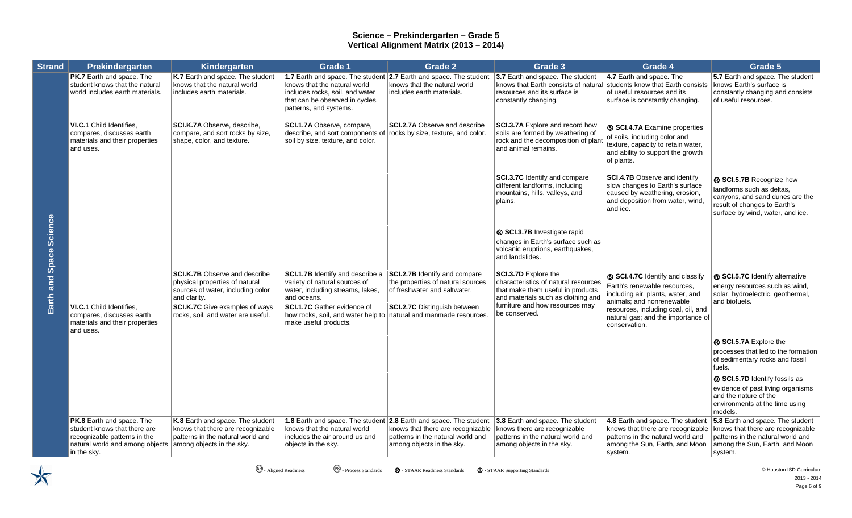| <b>Strand</b>           | Prekindergarten                                                                                                                                                              | Kindergarten                                                                                                                                                                                        | <b>Grade 1</b>                                                                                                                                                                                                            | <b>Grade 2</b>                                                                                                                                                                     | Grade 3                                                                                                                                                                                            | Grade 4                                                                                                                                                                                                                          | Grade 5                                                                                                                                                      |
|-------------------------|------------------------------------------------------------------------------------------------------------------------------------------------------------------------------|-----------------------------------------------------------------------------------------------------------------------------------------------------------------------------------------------------|---------------------------------------------------------------------------------------------------------------------------------------------------------------------------------------------------------------------------|------------------------------------------------------------------------------------------------------------------------------------------------------------------------------------|----------------------------------------------------------------------------------------------------------------------------------------------------------------------------------------------------|----------------------------------------------------------------------------------------------------------------------------------------------------------------------------------------------------------------------------------|--------------------------------------------------------------------------------------------------------------------------------------------------------------|
|                         | PK.7 Earth and space. The<br>student knows that the natural<br>world includes earth materials.                                                                               | K.7 Earth and space. The student<br>knows that the natural world<br>includes earth materials.                                                                                                       | 1.7 Earth and space. The student<br>knows that the natural world<br>includes rocks, soil, and water<br>that can be observed in cycles,<br>patterns, and systems.                                                          | 2.7 Earth and space. The student<br>knows that the natural world<br>includes earth materials.                                                                                      | 3.7 Earth and space. The student<br>knows that Earth consists of natural<br>resources and its surface is<br>constantly changing.                                                                   | 4.7 Earth and space. The<br>students know that Earth consists<br>of useful resources and its<br>surface is constantly changing.                                                                                                  | 5.7 Earth and space. The student<br>knows Earth's surface is<br>constantly changing and consists<br>of useful resources.                                     |
|                         | VI.C.1 Child Identifies,<br>compares, discusses earth<br>materials and their properties<br>and uses.                                                                         | SCI.K.7A Observe, describe,<br>compare, and sort rocks by size,<br>shape, color, and texture.                                                                                                       | SCI.1.7A Observe, compare,<br>describe, and sort components of<br>soil by size, texture, and color.                                                                                                                       | <b>SCI.2.7A Observe and describe</b><br>rocks by size, texture, and color.                                                                                                         | SCI.3.7A Explore and record how<br>soils are formed by weathering of<br>rock and the decomposition of plant<br>and animal remains.                                                                 | SCI.4.7A Examine properties<br>of soils, including color and<br>texture, capacity to retain water,<br>and ability to support the growth<br>of plants.                                                                            |                                                                                                                                                              |
|                         |                                                                                                                                                                              |                                                                                                                                                                                                     |                                                                                                                                                                                                                           |                                                                                                                                                                                    | SCI.3.7C Identify and compare<br>different landforms, including<br>mountains, hills, valleys, and<br>plains.                                                                                       | <b>SCI.4.7B Observe and identify</b><br>slow changes to Earth's surface<br>caused by weathering, erosion,<br>and deposition from water, wind,<br>and ice.                                                                        | ® SCI.5.7B Recognize how<br>landforms such as deltas,<br>canyons, and sand dunes are the<br>result of changes to Earth's<br>surface by wind, water, and ice. |
|                         |                                                                                                                                                                              |                                                                                                                                                                                                     |                                                                                                                                                                                                                           |                                                                                                                                                                                    | SCI.3.7B Investigate rapid<br>changes in Earth's surface such as<br>volcanic eruptions, earthquakes,<br>and landslides.                                                                            |                                                                                                                                                                                                                                  |                                                                                                                                                              |
| Earth and Space Science | <b>VI.C.1</b> Child Identifies,<br>compares, discusses earth<br>materials and their properties<br>and uses.                                                                  | <b>SCI.K.7B Observe and describe</b><br>physical properties of natural<br>sources of water, including color<br>and clarity.<br>SCI.K.7C Give examples of ways<br>rocks, soil, and water are useful. | SCI.1.7B Identify and describe a<br>variety of natural sources of<br>water, including streams, lakes,<br>and oceans.<br><b>SCI.1.7C</b> Gather evidence of<br>how rocks, soil, and water help to<br>make useful products. | <b>SCI.2.7B Identify and compare</b><br>the properties of natural sources<br>of freshwater and saltwater.<br><b>SCI.2.7C</b> Distinguish between<br>natural and manmade resources. | <b>SCI.3.7D Explore the</b><br>characteristics of natural resources<br>that make them useful in products<br>and materials such as clothing and<br>furniture and how resources may<br>be conserved. | S SCI.4.7C Identify and classify<br>Earth's renewable resources,<br>including air, plants, water, and<br>animals: and nonrenewable<br>resources, including coal, oil, and<br>natural gas; and the importance of<br>conservation. | ® SCI.5.7C Identify alternative<br>energy resources such as wind,<br>solar, hydroelectric, geothermal,<br>and biofuels.                                      |
|                         |                                                                                                                                                                              |                                                                                                                                                                                                     |                                                                                                                                                                                                                           |                                                                                                                                                                                    |                                                                                                                                                                                                    |                                                                                                                                                                                                                                  | ® SCI.5.7A Explore the<br>processes that led to the formation<br>of sedimentary rocks and fossil<br>fuels.                                                   |
|                         |                                                                                                                                                                              |                                                                                                                                                                                                     |                                                                                                                                                                                                                           |                                                                                                                                                                                    |                                                                                                                                                                                                    |                                                                                                                                                                                                                                  | SCI.5.7D Identify fossils as<br>evidence of past living organisms<br>and the nature of the<br>environments at the time using<br>models.                      |
|                         | <b>PK.8</b> Earth and space. The<br>student knows that there are<br>recognizable patterns in the<br>natural world and among objects among objects in the sky.<br>in the sky. | K.8 Earth and space. The student<br>knows that there are recognizable<br>patterns in the natural world and                                                                                          | 1.8 Earth and space. The student 2.8 Earth and space. The student<br>knows that the natural world<br>includes the air around us and<br>objects in the sky.                                                                | knows that there are recognizable<br>patterns in the natural world and<br>among objects in the sky.                                                                                | 3.8 Earth and space. The student<br>knows there are recognizable<br>patterns in the natural world and<br>among objects in the sky.                                                                 | 4.8 Earth and space. The student<br>knows that there are recognizable<br>patterns in the natural world and<br>among the Sun, Earth, and Moon<br>system.                                                                          | 5.8 Earth and space. The student<br>knows that there are recognizable<br>patterns in the natural world and<br>among the Sun, Earth, and Moon<br>system.      |

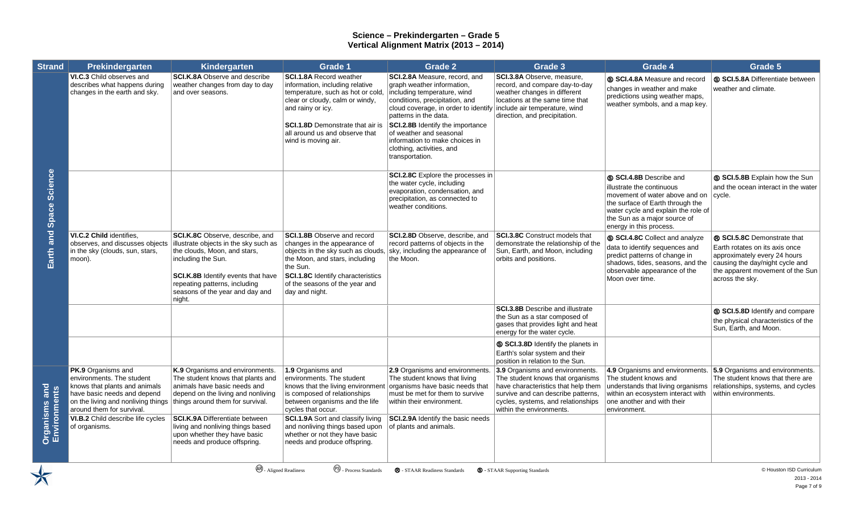| <b>Strand</b>                         | Prekindergarten                                                                                                                                                                           | Kindergarten                                                                                                                                                                                                                                       | <b>Grade 1</b>                                                                                                                                                                                                                                              | <b>Grade 2</b>                                                                                                                                                                                                                                                                                                                                 | Grade 3                                                                                                                                                                                                            | Grade 4                                                                                                                                                                                                                             | Grade 5                                                                                                                                                                                 |
|---------------------------------------|-------------------------------------------------------------------------------------------------------------------------------------------------------------------------------------------|----------------------------------------------------------------------------------------------------------------------------------------------------------------------------------------------------------------------------------------------------|-------------------------------------------------------------------------------------------------------------------------------------------------------------------------------------------------------------------------------------------------------------|------------------------------------------------------------------------------------------------------------------------------------------------------------------------------------------------------------------------------------------------------------------------------------------------------------------------------------------------|--------------------------------------------------------------------------------------------------------------------------------------------------------------------------------------------------------------------|-------------------------------------------------------------------------------------------------------------------------------------------------------------------------------------------------------------------------------------|-----------------------------------------------------------------------------------------------------------------------------------------------------------------------------------------|
| Earth and Space Science               | VI.C.3 Child observes and<br>describes what happens during<br>changes in the earth and sky.                                                                                               | SCI.K.8A Observe and describe<br>weather changes from day to day<br>and over seasons.                                                                                                                                                              | SCI.1.8A Record weather<br>information, including relative<br>temperature, such as hot or cold,<br>clear or cloudy, calm or windy,<br>and rainy or icy.<br><b>SCI.1.8D</b> Demonstrate that air is<br>all around us and observe that<br>wind is moving air. | SCI.2.8A Measure, record, and<br>graph weather information,<br>including temperature, wind<br>conditions, precipitation, and<br>cloud coverage, in order to identify<br>patterns in the data.<br>SCI.2.8B Identify the importance<br>of weather and seasonal<br>information to make choices in<br>clothing, activities, and<br>transportation. | SCI.3.8A Observe, measure,<br>record, and compare day-to-day<br>weather changes in different<br>locations at the same time that<br>include air temperature, wind<br>direction, and precipitation.                  | S SCI.4.8A Measure and record<br>changes in weather and make<br>predictions using weather maps,<br>weather symbols, and a map key.                                                                                                  | S SCI.5.8A Differentiate between<br>weather and climate.                                                                                                                                |
|                                       |                                                                                                                                                                                           |                                                                                                                                                                                                                                                    |                                                                                                                                                                                                                                                             | SCI.2.8C Explore the processes in<br>the water cycle, including<br>evaporation, condensation, and<br>precipitation, as connected to<br>weather conditions.                                                                                                                                                                                     |                                                                                                                                                                                                                    | <b>S SCI.4.8B</b> Describe and<br>illustrate the continuous<br>movement of water above and on<br>the surface of Earth through the<br>water cycle and explain the role of<br>the Sun as a major source of<br>energy in this process. | SCI.5.8B Explain how the Sun<br>and the ocean interact in the water<br>cycle.                                                                                                           |
|                                       | VI.C.2 Child identifies,<br>observes, and discusses objects<br>in the sky (clouds, sun, stars,<br>moon).                                                                                  | SCI.K.8C Observe, describe, and<br>illustrate objects in the sky such as<br>the clouds, Moon, and stars,<br>including the Sun.<br>SCI.K.8B Identify events that have<br>repeating patterns, including<br>seasons of the year and day and<br>night. | <b>SCI.1.8B</b> Observe and record<br>changes in the appearance of<br>objects in the sky such as clouds,<br>the Moon, and stars, including<br>the Sun.<br>SCI.1.8C Identify characteristics<br>of the seasons of the year and<br>day and night.             | SCI.2.8D Observe, describe, and<br>record patterns of objects in the<br>sky, including the appearance of<br>the Moon.                                                                                                                                                                                                                          | SCI.3.8C Construct models that<br>demonstrate the relationship of the<br>Sun, Earth, and Moon, including<br>orbits and positions.                                                                                  | SCI.4.8C Collect and analyze<br>data to identify sequences and<br>predict patterns of change in<br>shadows, tides, seasons, and the<br>observable appearance of the<br>Moon over time.                                              | ® SCI.5.8C Demonstrate that<br>Earth rotates on its axis once<br>approximately every 24 hours<br>causing the day/night cycle and<br>the apparent movement of the Sun<br>across the sky. |
|                                       |                                                                                                                                                                                           |                                                                                                                                                                                                                                                    |                                                                                                                                                                                                                                                             |                                                                                                                                                                                                                                                                                                                                                | <b>SCI.3.8B</b> Describe and illustrate<br>the Sun as a star composed of<br>gases that provides light and heat<br>energy for the water cycle.                                                                      |                                                                                                                                                                                                                                     | S SCI.5.8D Identify and compare<br>the physical characteristics of the<br>Sun, Earth, and Moon.                                                                                         |
|                                       |                                                                                                                                                                                           |                                                                                                                                                                                                                                                    |                                                                                                                                                                                                                                                             |                                                                                                                                                                                                                                                                                                                                                | SCI.3.8D Identify the planets in<br>Earth's solar system and their<br>position in relation to the Sun.                                                                                                             |                                                                                                                                                                                                                                     |                                                                                                                                                                                         |
|                                       | <b>PK.9</b> Organisms and<br>environments. The student<br>knows that plants and animals<br>have basic needs and depend<br>on the living and nonliving things<br>around them for survival. | K.9 Organisms and environments.<br>The student knows that plants and<br>animals have basic needs and<br>depend on the living and nonliving<br>things around them for survival.                                                                     | 1.9 Organisms and<br>environments. The student<br>knows that the living environment<br>is composed of relationships<br>between organisms and the life<br>cycles that occur.                                                                                 | 2.9 Organisms and environments.<br>The student knows that living<br>organisms have basic needs that<br>must be met for them to survive<br>within their environment.                                                                                                                                                                            | 3.9 Organisms and environments.<br>The student knows that organisms<br>have characteristics that help them<br>survive and can describe patterns,<br>cycles, systems, and relationships<br>within the environments. | 4.9 Organisms and environments. $ 5.9$ Organisms and environments.<br>The student knows and<br>within an ecosystem interact with<br>one another and with their<br>environment.                                                      | The student knows that there are<br>understands that living organisms relationships, systems, and cycles<br>within environments.                                                        |
| <b>Organisms and<br/>Environments</b> | VI.B.2 Child describe life cycles<br>of organisms.                                                                                                                                        | <b>SCI.K.9A Differentiate between</b><br>living and nonliving things based<br>upon whether they have basic<br>needs and produce offspring.                                                                                                         | SCI.1.9A Sort and classify living<br>and nonliving things based upon<br>whether or not they have basic<br>needs and produce offspring.                                                                                                                      | SCI.2.9A Identify the basic needs<br>of plants and animals.                                                                                                                                                                                                                                                                                    |                                                                                                                                                                                                                    |                                                                                                                                                                                                                                     |                                                                                                                                                                                         |

 $\bigtimes$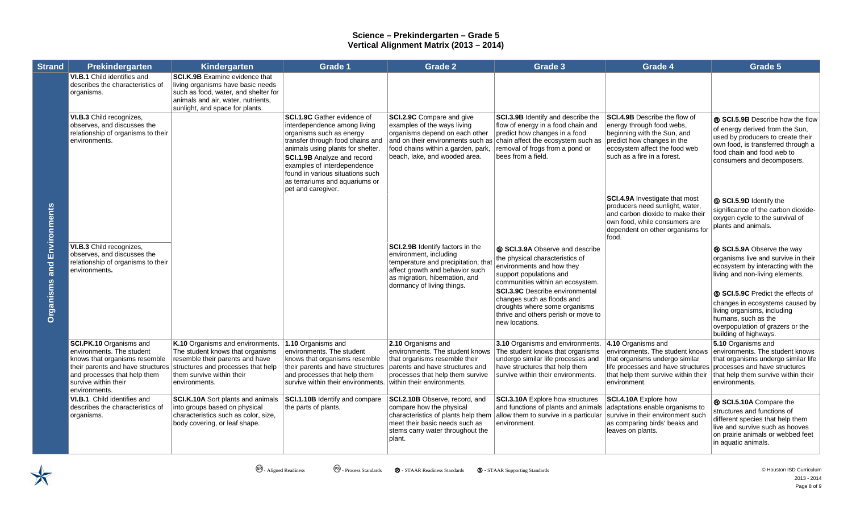| <b>Strand</b>                     | Prekindergarten                                                                                                                                                                                     | Kindergarten                                                                                                                                                                                | <b>Grade 1</b>                                                                                                                                                                                                                                                                                                                           | <b>Grade 2</b>                                                                                                                                                                                         | Grade 3                                                                                                                                                                                                                                                                                                                          | Grade 4                                                                                                                                                                                                            | Grade 5                                                                                                                                                                                                                                                                                                                              |
|-----------------------------------|-----------------------------------------------------------------------------------------------------------------------------------------------------------------------------------------------------|---------------------------------------------------------------------------------------------------------------------------------------------------------------------------------------------|------------------------------------------------------------------------------------------------------------------------------------------------------------------------------------------------------------------------------------------------------------------------------------------------------------------------------------------|--------------------------------------------------------------------------------------------------------------------------------------------------------------------------------------------------------|----------------------------------------------------------------------------------------------------------------------------------------------------------------------------------------------------------------------------------------------------------------------------------------------------------------------------------|--------------------------------------------------------------------------------------------------------------------------------------------------------------------------------------------------------------------|--------------------------------------------------------------------------------------------------------------------------------------------------------------------------------------------------------------------------------------------------------------------------------------------------------------------------------------|
| <b>Organisms and Environments</b> | VI.B.1 Child identifies and<br>describes the characteristics of<br>organisms.                                                                                                                       | <b>SCI.K.9B</b> Examine evidence that<br>living organisms have basic needs<br>such as food, water, and shelter for<br>animals and air, water, nutrients,<br>sunlight, and space for plants. |                                                                                                                                                                                                                                                                                                                                          |                                                                                                                                                                                                        |                                                                                                                                                                                                                                                                                                                                  |                                                                                                                                                                                                                    |                                                                                                                                                                                                                                                                                                                                      |
|                                   | VI.B.3 Child recognizes,<br>observes, and discusses the<br>relationship of organisms to their<br>environments.                                                                                      |                                                                                                                                                                                             | <b>SCI.1.9C</b> Gather evidence of<br>interdependence among living<br>organisms such as energy<br>transfer through food chains and<br>animals using plants for shelter.<br><b>SCI.1.9B</b> Analyze and record<br>examples of interdependence<br>found in various situations such<br>as terrariums and aquariums or<br>pet and caregiver. | SCI.2.9C Compare and give<br>examples of the ways living<br>organisms depend on each other<br>and on their environments such as<br>food chains within a garden, park,<br>beach, lake, and wooded area. | SCI.3.9B Identify and describe the<br>flow of energy in a food chain and<br>predict how changes in a food<br>chain affect the ecosystem such as<br>removal of frogs from a pond or<br>bees from a field.                                                                                                                         | <b>SCI.4.9B</b> Describe the flow of<br>energy through food webs,<br>beginning with the Sun, and<br>predict how changes in the<br>ecosystem affect the food web<br>such as a fire in a forest.                     | ® SCI.5.9B Describe how the flow<br>of energy derived from the Sun,<br>used by producers to create their<br>own food, is transferred through a<br>food chain and food web to<br>consumers and decomposers.                                                                                                                           |
|                                   |                                                                                                                                                                                                     |                                                                                                                                                                                             |                                                                                                                                                                                                                                                                                                                                          |                                                                                                                                                                                                        |                                                                                                                                                                                                                                                                                                                                  | SCI.4.9A Investigate that most<br>producers need sunlight, water,<br>and carbon dioxide to make their<br>own food, while consumers are<br>dependent on other organisms for<br>food.                                | S SCI.5.9D Identify the<br>significance of the carbon dioxide-<br>oxygen cycle to the survival of<br>plants and animals.                                                                                                                                                                                                             |
|                                   | VI.B.3 Child recognizes,<br>observes, and discusses the<br>relationship of organisms to their<br>environments.                                                                                      |                                                                                                                                                                                             |                                                                                                                                                                                                                                                                                                                                          | SCI.2.9B Identify factors in the<br>environment, including<br>temperature and precipitation, tha<br>affect growth and behavior such<br>as migration, hibernation, and<br>dormancy of living things.    | S SCI.3.9A Observe and describe<br>the physical characteristics of<br>environments and how they<br>support populations and<br>communities within an ecosystem.<br><b>SCI.3.9C</b> Describe environmental<br>changes such as floods and<br>droughts where some organisms<br>thrive and others perish or move to<br>new locations. |                                                                                                                                                                                                                    | ® SCI.5.9A Observe the way<br>organisms live and survive in their<br>ecosystem by interacting with the<br>living and non-living elements.<br>S SCI.5.9C Predict the effects of<br>changes in ecosystems caused by<br>living organisms, including<br>humans, such as the<br>overpopulation of grazers or the<br>building of highways. |
|                                   | SCI.PK.10 Organisms and<br>environments. The student<br>knows that organisms resemble<br>their parents and have structures<br>and processes that help them<br>survive within their<br>environments. | K.10 Organisms and environments.<br>The student knows that organisms<br>resemble their parents and have<br>structures and processes that help<br>them survive within their<br>environments. | 1.10 Organisms and<br>environments. The student<br>knows that organisms resemble<br>their parents and have structures<br>and processes that help them<br>survive within their environments.                                                                                                                                              | 2.10 Organisms and<br>environments. The student knows<br>that organisms resemble their<br>parents and have structures and<br>processes that help them survive<br>within their environments.            | 3.10 Organisms and environments.<br>The student knows that organisms<br>undergo similar life processes and<br>have structures that help them<br>survive within their environments.                                                                                                                                               | 4.10 Organisms and<br>environments. The student knows<br>that organisms undergo similar<br>life processes and have structures processes and have structures<br>that help them survive within their<br>environment. | 5.10 Organisms and<br>environments. The student knows<br>that organisms undergo similar life<br>that help them survive within their<br>environments.                                                                                                                                                                                 |
|                                   | VI.B.1. Child identifies and<br>describes the characteristics of<br>organisms.                                                                                                                      | <b>SCI.K.10A</b> Sort plants and animals<br>into groups based on physical<br>characteristics such as color, size,<br>body covering, or leaf shape.                                          | <b>SCI.1.10B</b> Identify and compare<br>the parts of plants.                                                                                                                                                                                                                                                                            | <b>SCI.2.10B</b> Observe, record, and<br>compare how the physical<br>characteristics of plants help them<br>meet their basic needs such as<br>stems carry water throughout the<br>plant.               | <b>SCI.3.10A</b> Explore how structures<br>and functions of plants and animals<br>allow them to survive in a particular<br>environment.                                                                                                                                                                                          | SCI.4.10A Explore how<br>adaptations enable organisms to<br>survive in their environment such<br>as comparing birds' beaks and<br>leaves on plants.                                                                | ® SCI.5.10A Compare the<br>structures and functions of<br>different species that help them<br>live and survive such as hooves<br>on prairie animals or webbed feet<br>in aquatic animals.                                                                                                                                            |

 $\bigstar$